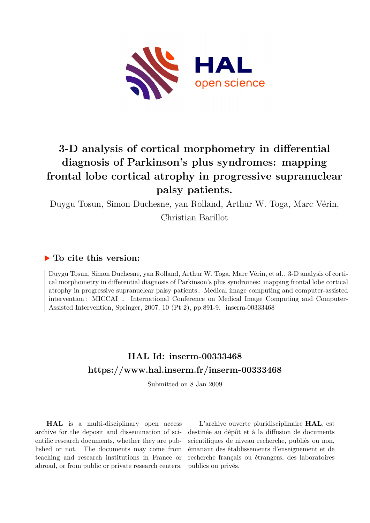

# **3-D analysis of cortical morphometry in differential diagnosis of Parkinson's plus syndromes: mapping frontal lobe cortical atrophy in progressive supranuclear palsy patients.**

Duygu Tosun, Simon Duchesne, yan Rolland, Arthur W. Toga, Marc Vérin, Christian Barillot

## **To cite this version:**

Duygu Tosun, Simon Duchesne, yan Rolland, Arthur W. Toga, Marc Vérin, et al.. 3-D analysis of cortical morphometry in differential diagnosis of Parkinson's plus syndromes: mapping frontal lobe cortical atrophy in progressive supranuclear palsy patients.. Medical image computing and computer-assisted intervention : MICCAI .. International Conference on Medical Image Computing and Computer-Assisted Intervention, Springer, 2007, 10 (Pt 2), pp.891-9. inserm-00333468

# **HAL Id: inserm-00333468 <https://www.hal.inserm.fr/inserm-00333468>**

Submitted on 8 Jan 2009

**HAL** is a multi-disciplinary open access archive for the deposit and dissemination of scientific research documents, whether they are published or not. The documents may come from teaching and research institutions in France or abroad, or from public or private research centers.

L'archive ouverte pluridisciplinaire **HAL**, est destinée au dépôt et à la diffusion de documents scientifiques de niveau recherche, publiés ou non, émanant des établissements d'enseignement et de recherche français ou étrangers, des laboratoires publics ou privés.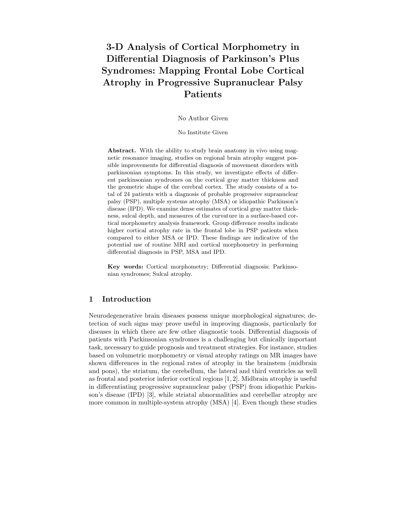## 3-D Analysis of Cortical Morphometry in Differential Diagnosis of Parkinson's Plus Syndromes: Mapping Frontal Lobe Cortical Atrophy in Progressive Supranuclear Palsy Patients

No Author Given

No Institute Given

Abstract. With the ability to study brain anatomy in vivo using magnetic resonance imaging, studies on regional brain atrophy suggest possible improvements for differential diagnosis of movement disorders with parkinsonian symptoms. In this study, we investigate effects of different parkinsonian syndromes on the cortical gray matter thickness and the geometric shape of the cerebral cortex. The study consists of a total of 24 patients with a diagnosis of probable progressive supranuclear palsy (PSP), multiple systems atrophy (MSA) or idiopathic Parkinson's disease (IPD). We examine dense estimates of cortical gray matter thickness, sulcal depth, and measures of the curvature in a surface-based cortical morphometry analysis framework. Group difference results indicate higher cortical atrophy rate in the frontal lobe in PSP patients when compared to either MSA or IPD. These findings are indicative of the potential use of routine MRI and cortical morphometry in performing differential diagnosis in PSP, MSA and IPD.

Key words: Cortical morphometry; Differential diagnosis; Parkinsonian syndromes; Sulcal atrophy.

## 1 Introduction

Neurodegenerative brain diseases possess unique morphological signatures; detection of such signs may prove useful in improving diagnosis, particularly for diseases in which there are few other diagnostic tools. Differential diagnosis of patients with Parkinsonian syndromes is a challenging but clinically important task, necessary to guide prognosis and treatment strategies. For instance, studies based on volumetric morphometry or visual atrophy ratings on MR images have shown differences in the regional rates of atrophy in the brainstem (midbrain and pons), the striatum, the cerebellum, the lateral and third ventricles as well as frontal and posterior inferior cortical regions [1, 2]. Midbrain atrophy is useful in differentiating progressive supranuclear palsy (PSP) from idiopathic Parkinson's disease (IPD) [3], while striatal abnormalities and cerebellar atrophy are more common in multiple-system atrophy (MSA) [4]. Even though these studies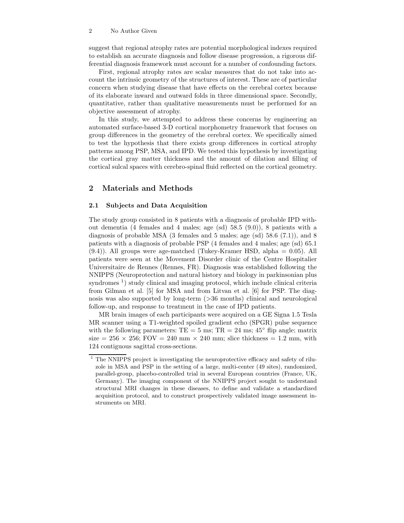suggest that regional atrophy rates are potential morphological indexes required to establish an accurate diagnosis and follow disease progression, a rigorous differential diagnosis framework must account for a number of confounding factors.

First, regional atrophy rates are scalar measures that do not take into account the intrinsic geometry of the structures of interest. These are of particular concern when studying disease that have effects on the cerebral cortex because of its elaborate inward and outward folds in three dimensional space. Secondly, quantitative, rather than qualitative measurements must be performed for an objective assessment of atrophy.

In this study, we attempted to address these concerns by engineering an automated surface-based 3-D cortical morphometry framework that focuses on group differences in the geometry of the cerebral cortex. We specifically aimed to test the hypothesis that there exists group differences in cortical atrophy patterns among PSP, MSA, and IPD. We tested this hypothesis by investigating the cortical gray matter thickness and the amount of dilation and filling of cortical sulcal spaces with cerebro-spinal fluid reflected on the cortical geometry.

## 2 Materials and Methods

#### 2.1 Subjects and Data Acquisition

The study group consisted in 8 patients with a diagnosis of probable IPD without dementia (4 females and 4 males; age (sd) 58.5 (9.0)), 8 patients with a diagnosis of probable MSA (3 females and 5 males; age (sd) 58.6 (7.1)), and 8 patients with a diagnosis of probable PSP (4 females and 4 males; age (sd) 65.1 (9.4)). All groups were age-matched (Tukey-Kramer HSD, alpha = 0.05). All patients were seen at the Movement Disorder clinic of the Centre Hospitalier Universitaire de Rennes (Rennes, FR). Diagnosis was established following the NNIPPS (Neuroprotection and natural history and biology in parkinsonian plus syndromes<sup>1</sup>) study clinical and imaging protocol, which include clinical criteria from Gilman et al. [5] for MSA and from Litvan et al. [6] for PSP. The diagnosis was also supported by long-term (>36 months) clinical and neurological follow-up, and response to treatment in the case of IPD patients.

MR brain images of each participants were acquired on a GE Signa 1.5 Tesla MR scanner using a T1-weighted spoiled gradient echo (SPGR) pulse sequence with the following parameters:  $TE = 5$  ms;  $TR = 24$  ms;  $45^{\circ}$  flip angle; matrix size =  $256 \times 256$ ; FOV =  $240$  mm  $\times$  240 mm; slice thickness = 1.2 mm, with 124 contiguous sagittal cross-sections.

 $^{\rm 1}$  The NNIPPS project is investigating the neuroprotective efficacy and safety of riluzole in MSA and PSP in the setting of a large, multi-center (49 sites), randomized, parallel-group, placebo-controlled trial in several European countries (France, UK, Germany). The imaging component of the NNIPPS project sought to understand structural MRI changes in these diseases, to define and validate a standardized acquisition protocol, and to construct prospectively validated image assessment instruments on MRI.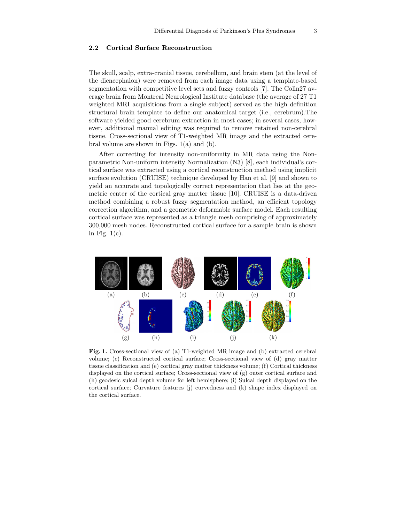#### 2.2 Cortical Surface Reconstruction

The skull, scalp, extra-cranial tissue, cerebellum, and brain stem (at the level of the diencephalon) were removed from each image data using a template-based segmentation with competitive level sets and fuzzy controls [7]. The Colin27 average brain from Montreal Neurological Institute database (the average of 27 T1 weighted MRI acquisitions from a single subject) served as the high definition structural brain template to define our anatomical target (i.e., cerebrum).The software yielded good cerebrum extraction in most cases; in several cases, however, additional manual editing was required to remove retained non-cerebral tissue. Cross-sectional view of T1-weighted MR image and the extracted cerebral volume are shown in Figs. 1(a) and (b).

After correcting for intensity non-uniformity in MR data using the Nonparametric Non-uniform intensity Normalization (N3) [8], each individual's cortical surface was extracted using a cortical reconstruction method using implicit surface evolution (CRUISE) technique developed by Han et al. [9] and shown to yield an accurate and topologically correct representation that lies at the geometric center of the cortical gray matter tissue [10]. CRUISE is a data-driven method combining a robust fuzzy segmentation method, an efficient topology correction algorithm, and a geometric deformable surface model. Each resulting cortical surface was represented as a triangle mesh comprising of approximately 300,000 mesh nodes. Reconstructed cortical surface for a sample brain is shown in Fig.  $1(c)$ .



Fig. 1. Cross-sectional view of (a) T1-weighted MR image and (b) extracted cerebral volume; (c) Reconstructed cortical surface; Cross-sectional view of (d) gray matter tissue classification and (e) cortical gray matter thickness volume; (f) Cortical thickness displayed on the cortical surface; Cross-sectional view of (g) outer cortical surface and (h) geodesic sulcal depth volume for left hemisphere; (i) Sulcal depth displayed on the cortical surface; Curvature features (j) curvedness and (k) shape index displayed on the cortical surface.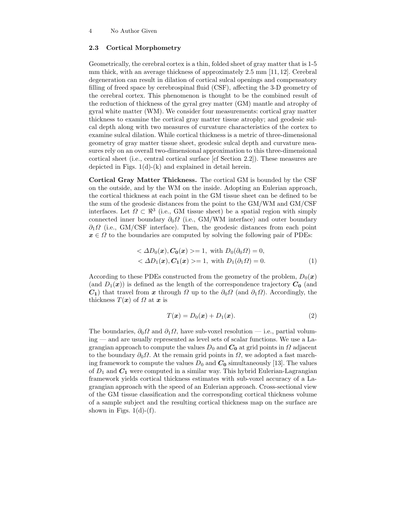#### 4 No Author Given

#### 2.3 Cortical Morphometry

Geometrically, the cerebral cortex is a thin, folded sheet of gray matter that is 1-5 mm thick, with an average thickness of approximately 2.5 mm [11, 12]. Cerebral degeneration can result in dilation of cortical sulcal openings and compensatory filling of freed space by cerebrospinal fluid (CSF), affecting the 3-D geometry of the cerebral cortex. This phenomenon is thought to be the combined result of the reduction of thickness of the gyral grey matter (GM) mantle and atrophy of gyral white matter (WM). We consider four measurements: cortical gray matter thickness to examine the cortical gray matter tissue atrophy; and geodesic sulcal depth along with two measures of curvature characteristics of the cortex to examine sulcal dilation. While cortical thickness is a metric of three-dimensional geometry of gray matter tissue sheet, geodesic sulcal depth and curvature measures rely on an overall two-dimensional approximation to this three-dimensional cortical sheet (i.e., central cortical surface [cf Section 2.2]). These measures are depicted in Figs. 1(d)-(k) and explained in detail herein.

Cortical Gray Matter Thickness. The cortical GM is bounded by the CSF on the outside, and by the WM on the inside. Adopting an Eulerian approach, the cortical thickness at each point in the GM tissue sheet can be defined to be the sum of the geodesic distances from the point to the GM/WM and GM/CSF interfaces. Let  $\Omega \subset \mathbb{R}^3$  (i.e., GM tissue sheet) be a spatial region with simply connected inner boundary  $\partial_0 \Omega$  (i.e., GM/WM interface) and outer boundary  $\partial_1 \Omega$  (i.e., GM/CSF interface). Then, the geodesic distances from each point  $x \in \Omega$  to the boundaries are computed by solving the following pair of PDEs:

$$
\langle \Delta D_0(\mathbf{x}), C_0(\mathbf{x}) \rangle = 1, \text{ with } D_0(\partial_0 \Omega) = 0,
$$
  

$$
\langle \Delta D_1(\mathbf{x}), C_1(\mathbf{x}) \rangle = 1, \text{ with } D_1(\partial_1 \Omega) = 0.
$$
 (1)

According to these PDEs constructed from the geometry of the problem,  $D_0(x)$ (and  $D_1(x)$ ) is defined as the length of the correspondence trajectory  $C_0$  (and  $C_1$ ) that travel from x through  $\Omega$  up to the  $\partial_0\Omega$  (and  $\partial_1\Omega$ ). Accordingly, the thickness  $T(x)$  of  $\Omega$  at  $x$  is

$$
T(\boldsymbol{x}) = D_0(\boldsymbol{x}) + D_1(\boldsymbol{x}). \tag{2}
$$

The boundaries,  $\partial_0 \Omega$  and  $\partial_1 \Omega$ , have sub-voxel resolution — i.e., partial voluming — and are usually represented as level sets of scalar functions. We use a Lagrangian approach to compute the values  $D_0$  and  $C_0$  at grid points in  $\Omega$  adjacent to the boundary  $\partial_0 \Omega$ . At the remain grid points in  $\Omega$ , we adopted a fast marching framework to compute the values  $D_0$  and  $C_0$  simultaneously [13]. The values of  $D_1$  and  $C_1$  were computed in a similar way. This hybrid Eulerian-Lagrangian framework yields cortical thickness estimates with sub-voxel accuracy of a Lagrangian approach with the speed of an Eulerian approach. Cross-sectional view of the GM tissue classification and the corresponding cortical thickness volume of a sample subject and the resulting cortical thickness map on the surface are shown in Figs.  $1(d)-(f)$ .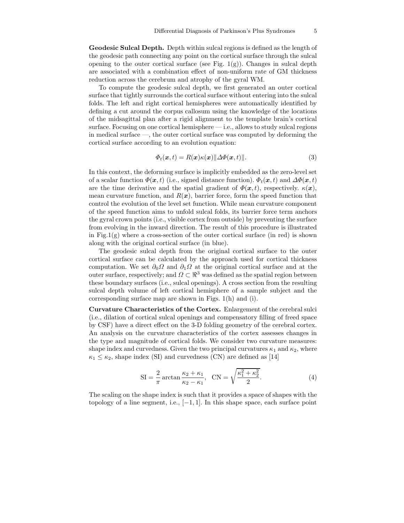Geodesic Sulcal Depth. Depth within sulcal regions is defined as the length of the geodesic path connecting any point on the cortical surface through the sulcal opening to the outer cortical surface (see Fig.  $1(g)$ ). Changes in sulcal depth are associated with a combination effect of non-uniform rate of GM thickness reduction across the cerebrum and atrophy of the gyral WM.

To compute the geodesic sulcal depth, we first generated an outer cortical surface that tightly surrounds the cortical surface without entering into the sulcal folds. The left and right cortical hemispheres were automatically identified by defining a cut around the corpus callosum using the knowledge of the locations of the midsagittal plan after a rigid alignment to the template brain's cortical surface. Focusing on one cortical hemisphere — i.e., allows to study sulcal regions in medical surface —, the outer cortical surface was computed by deforming the cortical surface according to an evolution equation:

$$
\Phi_t(\mathbf{x},t) = R(\mathbf{x})\kappa(\mathbf{x})\|\Delta\Phi(\mathbf{x},t)\|.\tag{3}
$$

In this context, the deforming surface is implicitly embedded as the zero-level set of a scalar function  $\Phi(\mathbf{x},t)$  (i.e., signed distance function).  $\Phi_t(\mathbf{x},t)$  and  $\Delta\Phi(\mathbf{x},t)$ are the time derivative and the spatial gradient of  $\Phi(\mathbf{x},t)$ , respectively.  $\kappa(\mathbf{x})$ , mean curvature function, and  $R(x)$ , barrier force, form the speed function that control the evolution of the level set function. While mean curvature component of the speed function aims to unfold sulcal folds, its barrier force term anchors the gyral crown points (i.e., visible cortex from outside) by preventing the surface from evolving in the inward direction. The result of this procedure is illustrated in Fig.1(g) where a cross-section of the outer cortical surface (in red) is shown along with the original cortical surface (in blue).

The geodesic sulcal depth from the original cortical surface to the outer cortical surface can be calculated by the approach used for cortical thickness computation. We set  $\partial_0 \Omega$  and  $\partial_1 \Omega$  at the original cortical surface and at the outer surface, respectively; and  $\Omega \subset \mathbb{R}^3$  was defined as the spatial region between these boundary surfaces (i.e., sulcal openings). A cross section from the resulting sulcal depth volume of left cortical hemisphere of a sample subject and the corresponding surface map are shown in Figs. 1(h) and (i).

Curvature Characteristics of the Cortex. Enlargement of the cerebral sulci (i.e., dilation of cortical sulcal openings and compensatory filling of freed space by CSF) have a direct effect on the 3-D folding geometry of the cerebral cortex. An analysis on the curvature characteristics of the cortex assesses changes in the type and magnitude of cortical folds. We consider two curvature measures: shape index and curvedness. Given the two principal curvatures  $\kappa_1$  and  $\kappa_2$ , where  $\kappa_1 \leq \kappa_2$ , shape index (SI) and curvedness (CN) are defined as [14]

SI = 
$$
\frac{2}{\pi} \arctan \frac{\kappa_2 + \kappa_1}{\kappa_2 - \kappa_1}
$$
, CN =  $\sqrt{\frac{\kappa_1^2 + \kappa_2^2}{2}}$ . (4)

The scaling on the shape index is such that it provides a space of shapes with the topology of a line segment, i.e.,  $[-1, 1]$ . In this shape space, each surface point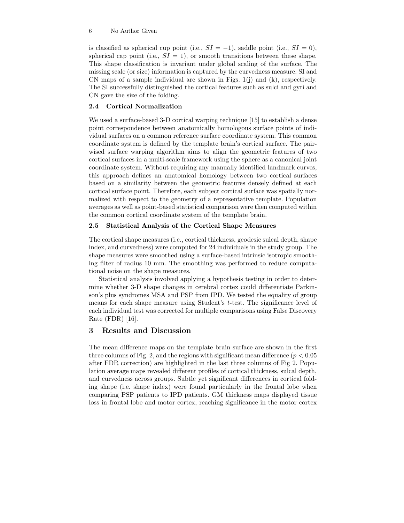#### 6 No Author Given

is classified as spherical cup point (i.e.,  $SI = -1$ ), saddle point (i.e.,  $SI = 0$ ), spherical cap point (i.e.,  $SI = 1$ ), or smooth transitions between these shape. This shape classification is invariant under global scaling of the surface. The missing scale (or size) information is captured by the curvedness measure. SI and CN maps of a sample individual are shown in Figs.  $1(j)$  and  $(k)$ , respectively. The SI successfully distinguished the cortical features such as sulci and gyri and CN gave the size of the folding.

#### 2.4 Cortical Normalization

We used a surface-based 3-D cortical warping technique [15] to establish a dense point correspondence between anatomically homologous surface points of individual surfaces on a common reference surface coordinate system. This common coordinate system is defined by the template brain's cortical surface. The pairwised surface warping algorithm aims to align the geometric features of two cortical surfaces in a multi-scale framework using the sphere as a canonical joint coordinate system. Without requiring any manually identified landmark curves, this approach defines an anatomical homology between two cortical surfaces based on a similarity between the geometric features densely defined at each cortical surface point. Therefore, each subject cortical surface was spatially normalized with respect to the geometry of a representative template. Population averages as well as point-based statistical comparison were then computed within the common cortical coordinate system of the template brain.

#### 2.5 Statistical Analysis of the Cortical Shape Measures

The cortical shape measures (i.e., cortical thickness, geodesic sulcal depth, shape index, and curvedness) were computed for 24 individuals in the study group. The shape measures were smoothed using a surface-based intrinsic isotropic smoothing filter of radius 10 mm. The smoothing was performed to reduce computational noise on the shape measures.

Statistical analysis involved applying a hypothesis testing in order to determine whether 3-D shape changes in cerebral cortex could differentiate Parkinson's plus syndromes MSA and PSP from IPD. We tested the equality of group means for each shape measure using Student's t-test. The significance level of each individual test was corrected for multiple comparisons using False Discovery Rate (FDR) [16].

### 3 Results and Discussion

The mean difference maps on the template brain surface are shown in the first three columns of Fig. 2, and the regions with significant mean difference  $(p < 0.05$ after FDR correction) are highlighted in the last three columns of Fig 2. Population average maps revealed different profiles of cortical thickness, sulcal depth, and curvedness across groups. Subtle yet significant differences in cortical folding shape (i.e. shape index) were found particularly in the frontal lobe when comparing PSP patients to IPD patients. GM thickness maps displayed tissue loss in frontal lobe and motor cortex, reaching significance in the motor cortex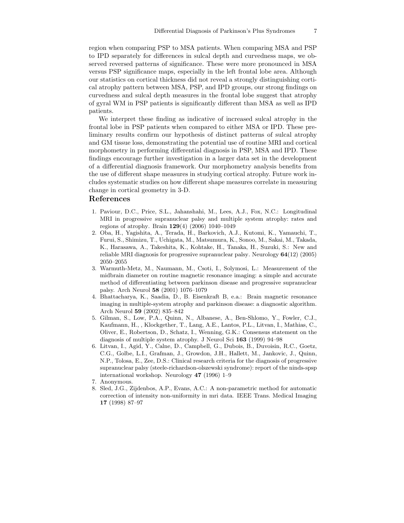region when comparing PSP to MSA patients. When comparing MSA and PSP to IPD separately for differences in sulcal depth and curvedness maps, we observed reversed patterns of significance. These were more pronounced in MSA versus PSP significance maps, especially in the left frontal lobe area. Although our statistics on cortical thickness did not reveal a strongly distinguishing cortical atrophy pattern between MSA, PSP, and IPD groups, our strong findings on curvedness and sulcal depth measures in the frontal lobe suggest that atrophy of gyral WM in PSP patients is significantly different than MSA as well as IPD patients.

We interpret these finding as indicative of increased sulcal atrophy in the frontal lobe in PSP patients when compared to either MSA or IPD. These preliminary results confirm our hypothesis of distinct patterns of sulcal atrophy and GM tissue loss, demonstrating the potential use of routine MRI and cortical morphometry in performing differential diagnosis in PSP, MSA and IPD. These findings encourage further investigation in a larger data set in the development of a differential diagnosis framework. Our morphometry analysis benefits from the use of different shape measures in studying cortical atrophy. Future work includes systematic studies on how different shape measures correlate in measuring change in cortical geometry in 3-D.

### References

- 1. Paviour, D.C., Price, S.L., Jahanshahi, M., Lees, A.J., Fox, N.C.: Longitudinal MRI in progressive supranuclear palsy and multiple system atrophy: rates and regions of atrophy. Brain  $129(4)$  (2006) 1040-1049
- 2. Oba, H., Yagishita, A., Terada, H., Barkovich, A.J., Kutomi, K., Yamauchi, T., Furui, S., Shimizu, T., Uchigata, M., Matsumura, K., Sonoo, M., Sakai, M., Takada, K., Harasawa, A., Takeshita, K., Kohtake, H., Tanaka, H., Suzuki, S.: New and reliable MRI diagnosis for progressive supranuclear palsy. Neurology 64(12) (2005) 2050–2055
- 3. Warmuth-Metz, M., Naumann, M., Csoti, I., Solymosi, L.: Measurement of the midbrain diameter on routine magnetic resonance imaging: a simple and accurate method of differentiating between parkinson disease and progressive supranuclear palsy. Arch Neurol 58 (2001) 1076–1079
- 4. Bhattacharya, K., Saadia, D., B. Eisenkraft B, e.a.: Brain magnetic resonance imaging in multiple-system atrophy and parkinson disease: a diagnostic algorithm. Arch Neurol 59 (2002) 835–842
- 5. Gilman, S., Low, P.A., Quinn, N., Albanese, A., Ben-Shlomo, Y., Fowler, C.J., Kaufmann, H., , Klockgether, T., Lang, A.E., Lantos, P.L., Litvan, I., Mathias, C., Oliver, E., Robertson, D., Schatz, I., Wenning, G.K.: Consensus statement on the diagnosis of multiple system atrophy. J Neurol Sci 163 (1999) 94–98
- 6. Litvan, I., Agid, Y., Calne, D., Campbell, G., Dubois, B., Duvoisin, R.C., Goetz, C.G., Golbe, L.I., Grafman, J., Growdon, J.H., Hallett, M., Jankovic, J., Quinn, N.P., Tolosa, E., Zee, D.S.: Clinical research criteria for the diagnosis of progressive supranuclear palsy (steele-richardson-olszewski syndrome): report of the ninds-spsp international workshop. Neurology 47 (1996) 1–9

8. Sled, J.G., Zijdenbos, A.P., Evans, A.C.: A non-parametric method for automatic correction of intensity non-uniformity in mri data. IEEE Trans. Medical Imaging 17 (1998) 87–97

<sup>7.</sup> Anonymous.